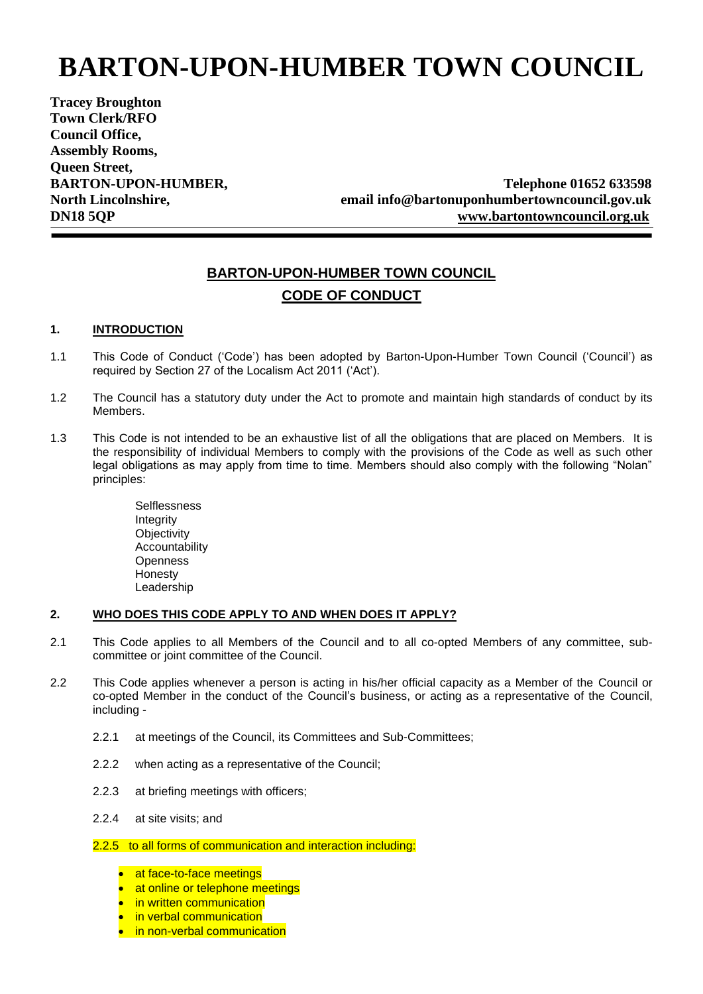# **BARTON-UPON-HUMBER TOWN COUNCIL**

**Tracey Broughton Town Clerk/RFO Council Office, Assembly Rooms, Queen Street,** 

BARTON-UPON-HUMBER, Telephone 01652 633598 **North Lincolnshire, email info@bartonuponhumbertowncouncil.gov.uk DN18 5QP [www.bartontowncouncil.org.uk](http://www.bartontowncouncil.org.uk/)**

## **BARTON-UPON-HUMBER TOWN COUNCIL CODE OF CONDUCT**

#### **1. INTRODUCTION**

- 1.1 This Code of Conduct ('Code') has been adopted by Barton-Upon-Humber Town Council ('Council') as required by Section 27 of the Localism Act 2011 ('Act').
- 1.2 The Council has a statutory duty under the Act to promote and maintain high standards of conduct by its Members.
- 1.3 This Code is not intended to be an exhaustive list of all the obligations that are placed on Members. It is the responsibility of individual Members to comply with the provisions of the Code as well as such other legal obligations as may apply from time to time. Members should also comply with the following "Nolan" principles:

**Selflessness** Integrity **Objectivity** Accountability **Openness Honesty** Leadership

#### **2. WHO DOES THIS CODE APPLY TO AND WHEN DOES IT APPLY?**

- 2.1 This Code applies to all Members of the Council and to all co-opted Members of any committee, subcommittee or joint committee of the Council.
- 2.2 This Code applies whenever a person is acting in his/her official capacity as a Member of the Council or co-opted Member in the conduct of the Council's business, or acting as a representative of the Council, including -
	- 2.2.1 at meetings of the Council, its Committees and Sub-Committees;
	- 2.2.2 when acting as a representative of the Council;
	- 2.2.3 at briefing meetings with officers;
	- 2.2.4 at site visits; and

#### 2.2.5 to all forms of communication and interaction including:

- at face-to-face meetings
- at online or telephone meetings
- in written communication
- in verbal communication
- *in non-verbal communication*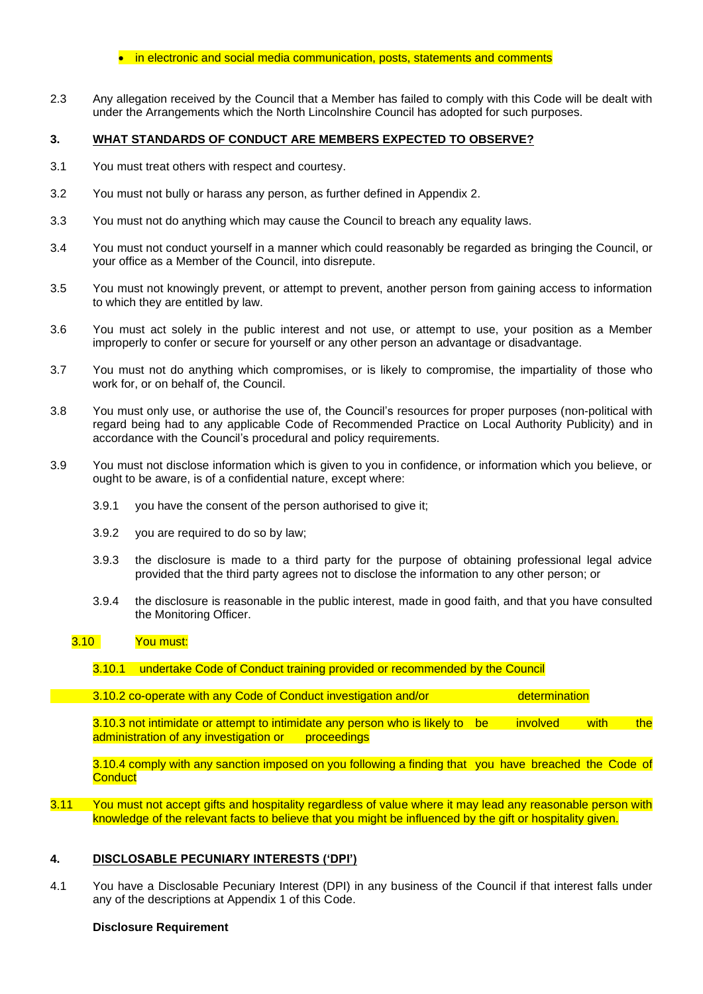#### • in electronic and social media communication, posts, statements and comments

2.3 Any allegation received by the Council that a Member has failed to comply with this Code will be dealt with under the Arrangements which the North Lincolnshire Council has adopted for such purposes.

#### **3. WHAT STANDARDS OF CONDUCT ARE MEMBERS EXPECTED TO OBSERVE?**

- 3.1 You must treat others with respect and courtesy.
- 3.2 You must not bully or harass any person, as further defined in Appendix 2.
- 3.3 You must not do anything which may cause the Council to breach any equality laws.
- 3.4 You must not conduct yourself in a manner which could reasonably be regarded as bringing the Council, or your office as a Member of the Council, into disrepute.
- 3.5 You must not knowingly prevent, or attempt to prevent, another person from gaining access to information to which they are entitled by law.
- 3.6 You must act solely in the public interest and not use, or attempt to use, your position as a Member improperly to confer or secure for yourself or any other person an advantage or disadvantage.
- 3.7 You must not do anything which compromises, or is likely to compromise, the impartiality of those who work for, or on behalf of, the Council.
- 3.8 You must only use, or authorise the use of, the Council's resources for proper purposes (non-political with regard being had to any applicable Code of Recommended Practice on Local Authority Publicity) and in accordance with the Council's procedural and policy requirements.
- 3.9 You must not disclose information which is given to you in confidence, or information which you believe, or ought to be aware, is of a confidential nature, except where:
	- 3.9.1 you have the consent of the person authorised to give it;
	- 3.9.2 you are required to do so by law;
	- 3.9.3 the disclosure is made to a third party for the purpose of obtaining professional legal advice provided that the third party agrees not to disclose the information to any other person; or
	- 3.9.4 the disclosure is reasonable in the public interest, made in good faith, and that you have consulted the Monitoring Officer.

#### 3.10 You must:

3.10.1 undertake Code of Conduct training provided or recommended by the Council

3.10.2 co-operate with any Code of Conduct investigation and/or determination

3.10.3 not intimidate or attempt to intimidate any person who is likely to be involved with the administration of any investigation or proceedings

3.10.4 comply with any sanction imposed on you following a finding that you have breached the Code of **Conduct** 

3.11 You must not accept gifts and hospitality regardless of value where it may lead any reasonable person with knowledge of the relevant facts to believe that you might be influenced by the gift or hospitality given.

#### **4. DISCLOSABLE PECUNIARY INTERESTS ('DPI')**

4.1 You have a Disclosable Pecuniary Interest (DPI) in any business of the Council if that interest falls under any of the descriptions at Appendix 1 of this Code.

#### **Disclosure Requirement**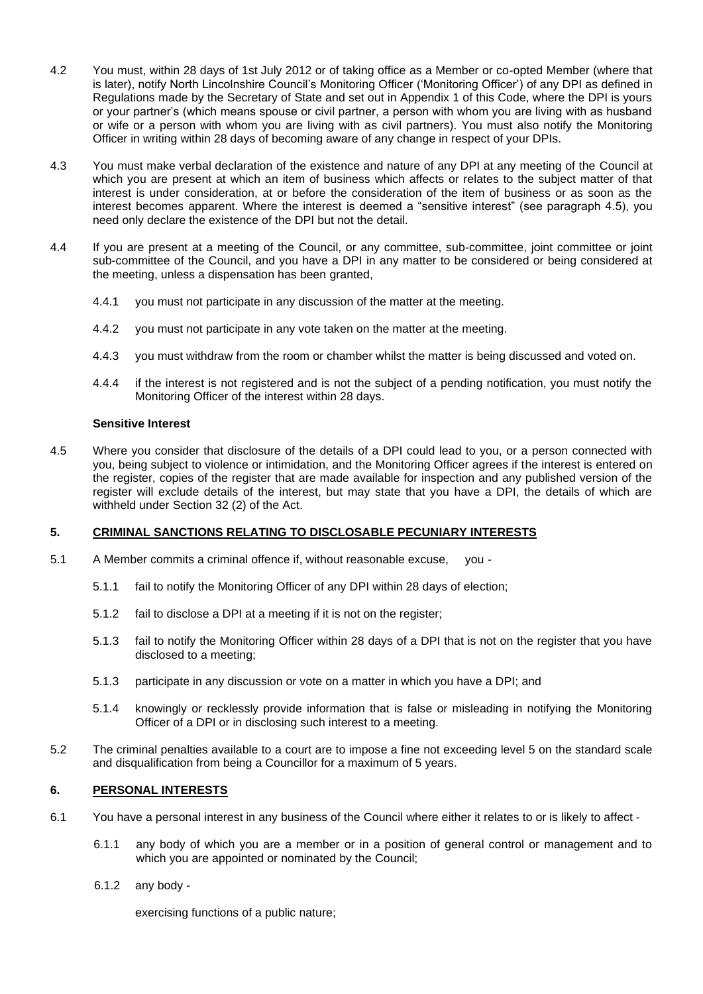- 4.2 You must, within 28 days of 1st July 2012 or of taking office as a Member or co-opted Member (where that is later), notify North Lincolnshire Council's Monitoring Officer ('Monitoring Officer') of any DPI as defined in Regulations made by the Secretary of State and set out in Appendix 1 of this Code, where the DPI is yours or your partner's (which means spouse or civil partner, a person with whom you are living with as husband or wife or a person with whom you are living with as civil partners). You must also notify the Monitoring Officer in writing within 28 days of becoming aware of any change in respect of your DPIs.
- 4.3 You must make verbal declaration of the existence and nature of any DPI at any meeting of the Council at which you are present at which an item of business which affects or relates to the subject matter of that interest is under consideration, at or before the consideration of the item of business or as soon as the interest becomes apparent. Where the interest is deemed a "sensitive interest" (see paragraph 4.5), you need only declare the existence of the DPI but not the detail.
- 4.4 If you are present at a meeting of the Council, or any committee, sub-committee, joint committee or joint sub-committee of the Council, and you have a DPI in any matter to be considered or being considered at the meeting, unless a dispensation has been granted,
	- 4.4.1 you must not participate in any discussion of the matter at the meeting.
	- 4.4.2 you must not participate in any vote taken on the matter at the meeting.
	- 4.4.3 you must withdraw from the room or chamber whilst the matter is being discussed and voted on.
	- 4.4.4 if the interest is not registered and is not the subject of a pending notification, you must notify the Monitoring Officer of the interest within 28 days.

#### **Sensitive Interest**

4.5 Where you consider that disclosure of the details of a DPI could lead to you, or a person connected with you, being subject to violence or intimidation, and the Monitoring Officer agrees if the interest is entered on the register, copies of the register that are made available for inspection and any published version of the register will exclude details of the interest, but may state that you have a DPI, the details of which are withheld under Section 32 (2) of the Act.

#### **5. CRIMINAL SANCTIONS RELATING TO DISCLOSABLE PECUNIARY INTERESTS**

- 5.1 A Member commits a criminal offence if, without reasonable excuse, you
	- 5.1.1 fail to notify the Monitoring Officer of any DPI within 28 days of election;
	- 5.1.2 fail to disclose a DPI at a meeting if it is not on the register;
	- 5.1.3 fail to notify the Monitoring Officer within 28 days of a DPI that is not on the register that you have disclosed to a meeting;
	- 5.1.3 participate in any discussion or vote on a matter in which you have a DPI; and
	- 5.1.4 knowingly or recklessly provide information that is false or misleading in notifying the Monitoring Officer of a DPI or in disclosing such interest to a meeting.
- 5.2 The criminal penalties available to a court are to impose a fine not exceeding level 5 on the standard scale and disqualification from being a Councillor for a maximum of 5 years.

#### **6. PERSONAL INTERESTS**

- 6.1 You have a personal interest in any business of the Council where either it relates to or is likely to affect
	- 6.1.1 any body of which you are a member or in a position of general control or management and to which you are appointed or nominated by the Council;
	- 6.1.2 any body -

exercising functions of a public nature;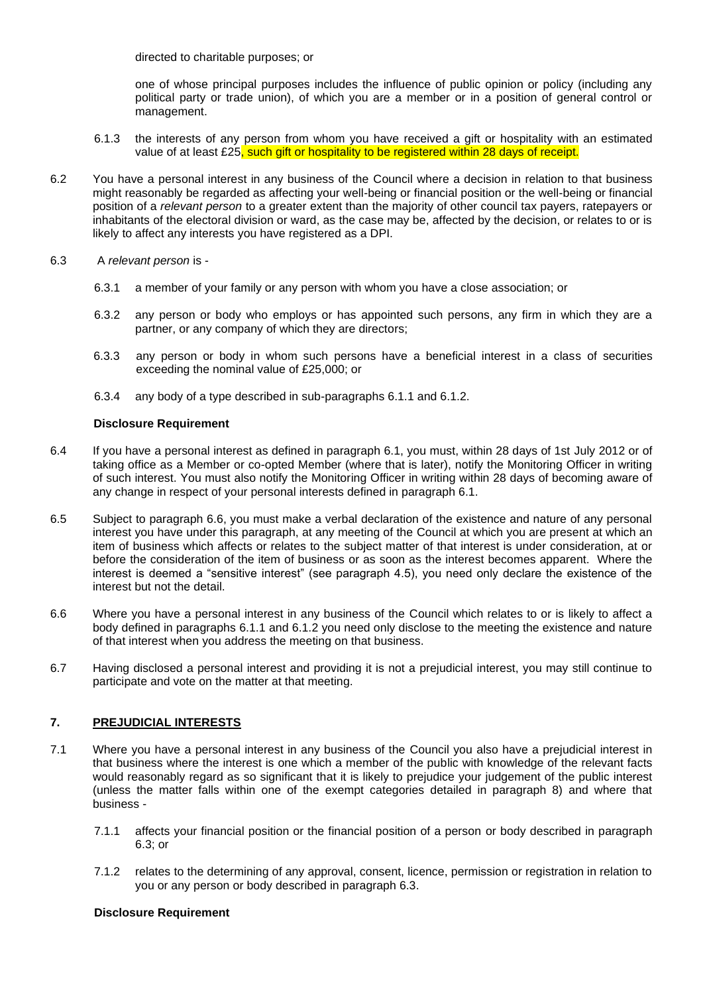directed to charitable purposes; or

one of whose principal purposes includes the influence of public opinion or policy (including any political party or trade union), of which you are a member or in a position of general control or management.

- 6.1.3 the interests of any person from whom you have received a gift or hospitality with an estimated value of at least £25, such gift or hospitality to be registered within 28 days of receipt.
- 6.2 You have a personal interest in any business of the Council where a decision in relation to that business might reasonably be regarded as affecting your well-being or financial position or the well-being or financial position of a *relevant person* to a greater extent than the majority of other council tax payers, ratepayers or inhabitants of the electoral division or ward, as the case may be, affected by the decision, or relates to or is likely to affect any interests you have registered as a DPI.
- 6.3 A *relevant person* is
	- 6.3.1 a member of your family or any person with whom you have a close association; or
	- 6.3.2 any person or body who employs or has appointed such persons, any firm in which they are a partner, or any company of which they are directors;
	- 6.3.3 any person or body in whom such persons have a beneficial interest in a class of securities exceeding the nominal value of £25,000; or
	- 6.3.4 any body of a type described in sub-paragraphs 6.1.1 and 6.1.2.

#### **Disclosure Requirement**

- 6.4 If you have a personal interest as defined in paragraph 6.1, you must, within 28 days of 1st July 2012 or of taking office as a Member or co-opted Member (where that is later), notify the Monitoring Officer in writing of such interest. You must also notify the Monitoring Officer in writing within 28 days of becoming aware of any change in respect of your personal interests defined in paragraph 6.1.
- 6.5 Subject to paragraph 6.6, you must make a verbal declaration of the existence and nature of any personal interest you have under this paragraph, at any meeting of the Council at which you are present at which an item of business which affects or relates to the subject matter of that interest is under consideration, at or before the consideration of the item of business or as soon as the interest becomes apparent. Where the interest is deemed a "sensitive interest" (see paragraph 4.5), you need only declare the existence of the interest but not the detail.
- 6.6 Where you have a personal interest in any business of the Council which relates to or is likely to affect a body defined in paragraphs 6.1.1 and 6.1.2 you need only disclose to the meeting the existence and nature of that interest when you address the meeting on that business.
- 6.7 Having disclosed a personal interest and providing it is not a prejudicial interest, you may still continue to participate and vote on the matter at that meeting.

#### **7. PREJUDICIAL INTERESTS**

- 7.1 Where you have a personal interest in any business of the Council you also have a prejudicial interest in that business where the interest is one which a member of the public with knowledge of the relevant facts would reasonably regard as so significant that it is likely to prejudice your judgement of the public interest (unless the matter falls within one of the exempt categories detailed in paragraph 8) and where that business -
	- 7.1.1 affects your financial position or the financial position of a person or body described in paragraph 6.3; or
	- 7.1.2 relates to the determining of any approval, consent, licence, permission or registration in relation to you or any person or body described in paragraph 6.3.

#### **Disclosure Requirement**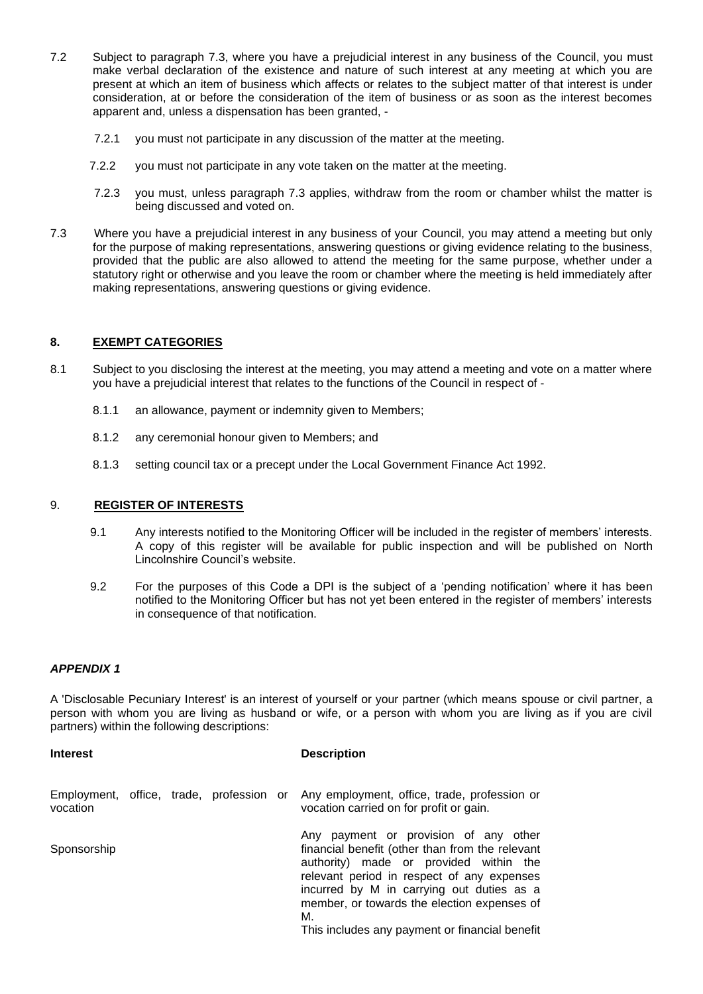- 7.2 Subject to paragraph 7.3, where you have a prejudicial interest in any business of the Council, you must make verbal declaration of the existence and nature of such interest at any meeting at which you are present at which an item of business which affects or relates to the subject matter of that interest is under consideration, at or before the consideration of the item of business or as soon as the interest becomes apparent and, unless a dispensation has been granted, -
	- 7.2.1 you must not participate in any discussion of the matter at the meeting.
	- 7.2.2 you must not participate in any vote taken on the matter at the meeting.
	- 7.2.3 you must, unless paragraph 7.3 applies, withdraw from the room or chamber whilst the matter is being discussed and voted on.
- 7.3 Where you have a prejudicial interest in any business of your Council, you may attend a meeting but only for the purpose of making representations, answering questions or giving evidence relating to the business, provided that the public are also allowed to attend the meeting for the same purpose, whether under a statutory right or otherwise and you leave the room or chamber where the meeting is held immediately after making representations, answering questions or giving evidence.

#### **8. EXEMPT CATEGORIES**

- 8.1 Subject to you disclosing the interest at the meeting, you may attend a meeting and vote on a matter where you have a prejudicial interest that relates to the functions of the Council in respect of -
	- 8.1.1 an allowance, payment or indemnity given to Members;
	- 8.1.2 any ceremonial honour given to Members; and
	- 8.1.3 setting council tax or a precept under the Local Government Finance Act 1992.

#### 9. **REGISTER OF INTERESTS**

- 9.1 Any interests notified to the Monitoring Officer will be included in the register of members' interests. A copy of this register will be available for public inspection and will be published on North Lincolnshire Council's website.
- 9.2 For the purposes of this Code a DPI is the subject of a 'pending notification' where it has been notified to the Monitoring Officer but has not yet been entered in the register of members' interests in consequence of that notification.

### *APPENDIX 1*

A 'Disclosable Pecuniary Interest' is an interest of yourself or your partner (which means spouse or civil partner, a person with whom you are living as husband or wife, or a person with whom you are living as if you are civil partners) within the following descriptions:

#### **Interest Description**

| Employment, office, trade, profession or<br>vocation |  |  | Any employment, office, trade, profession or<br>vocation carried on for profit or gain.                                                                                                                                                                                                                                              |
|------------------------------------------------------|--|--|--------------------------------------------------------------------------------------------------------------------------------------------------------------------------------------------------------------------------------------------------------------------------------------------------------------------------------------|
| Sponsorship                                          |  |  | Any payment or provision of any other<br>financial benefit (other than from the relevant<br>authority) made or provided within the<br>relevant period in respect of any expenses<br>incurred by M in carrying out duties as a<br>member, or towards the election expenses of<br>М.<br>This includes any payment or financial benefit |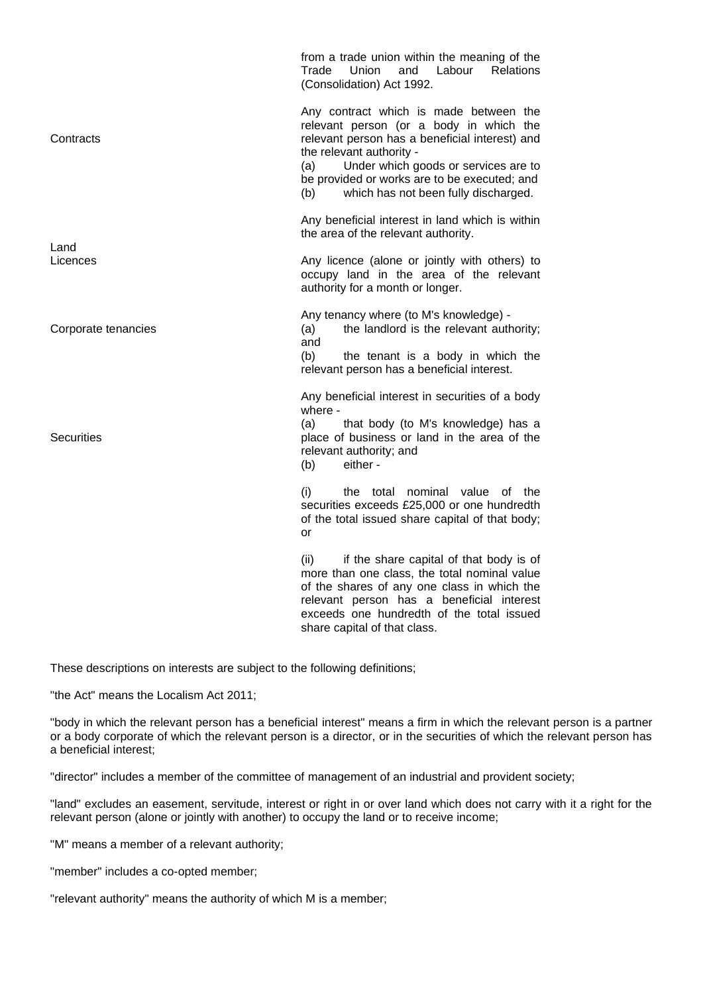**Contracts** Land from a trade union within the meaning of the Trade Union and Labour Relations (Consolidation) Act 1992. Any contract which is made between the relevant person (or a body in which the relevant person has a beneficial interest) and the relevant authority - (a) Under which goods or services are to be provided or works are to be executed; and (b) which has not been fully discharged. Any beneficial interest in land which is within the area of the relevant authority. Licences Corporate tenancies **Securities** Any licence (alone or jointly with others) to occupy land in the area of the relevant authority for a month or longer. Any tenancy where (to M's knowledge) - (a) the landlord is the relevant authority; and (b) the tenant is a body in which the relevant person has a beneficial interest. Any beneficial interest in securities of a body where - (a) that body (to M's knowledge) has a place of business or land in the area of the relevant authority; and (b) either - (i) the total nominal value of the securities exceeds £25,000 or one hundredth of the total issued share capital of that body; or (ii) if the share capital of that body is of more than one class, the total nominal value of the shares of any one class in which the relevant person has a beneficial interest exceeds one hundredth of the total issued share capital of that class.

These descriptions on interests are subject to the following definitions;

"the Act" means the Localism Act 2011;

"body in which the relevant person has a beneficial interest" means a firm in which the relevant person is a partner or a body corporate of which the relevant person is a director, or in the securities of which the relevant person has a beneficial interest;

"director" includes a member of the committee of management of an industrial and provident society;

"land" excludes an easement, servitude, interest or right in or over land which does not carry with it a right for the relevant person (alone or jointly with another) to occupy the land or to receive income;

"M" means a member of a relevant authority;

"member" includes a co-opted member;

"relevant authority" means the authority of which M is a member;